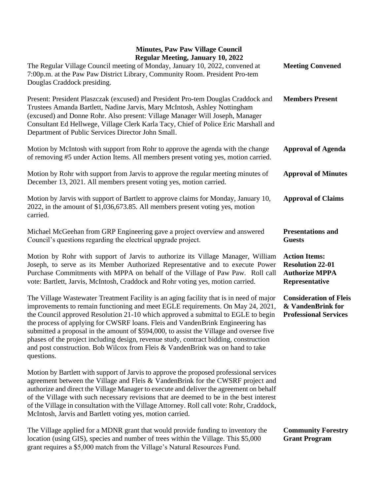## **Minutes, Paw Paw Village Council Regular Meeting, January 10, 2022**

| Regular Meeting, January 10, 2022<br>The Regular Village Council meeting of Monday, January 10, 2022, convened at<br>7:00p.m. at the Paw Paw District Library, Community Room. President Pro-tem<br>Douglas Craddock presiding.                                                                                                                                                                                                                                                                                                                                                                                                       | <b>Meeting Convened</b>                                                                    |
|---------------------------------------------------------------------------------------------------------------------------------------------------------------------------------------------------------------------------------------------------------------------------------------------------------------------------------------------------------------------------------------------------------------------------------------------------------------------------------------------------------------------------------------------------------------------------------------------------------------------------------------|--------------------------------------------------------------------------------------------|
| Present: President Plaszczak (excused) and President Pro-tem Douglas Craddock and<br>Trustees Amanda Bartlett, Nadine Jarvis, Mary McIntosh, Ashley Nottingham<br>(excused) and Donne Rohr. Also present: Village Manager Will Joseph, Manager<br>Consultant Ed Hellwege, Village Clerk Karla Tacy, Chief of Police Eric Marshall and<br>Department of Public Services Director John Small.                                                                                                                                                                                                                                           | <b>Members Present</b>                                                                     |
| Motion by McIntosh with support from Rohr to approve the agenda with the change<br>of removing #5 under Action Items. All members present voting yes, motion carried.                                                                                                                                                                                                                                                                                                                                                                                                                                                                 | <b>Approval of Agenda</b>                                                                  |
| Motion by Rohr with support from Jarvis to approve the regular meeting minutes of<br>December 13, 2021. All members present voting yes, motion carried.                                                                                                                                                                                                                                                                                                                                                                                                                                                                               | <b>Approval of Minutes</b>                                                                 |
| Motion by Jarvis with support of Bartlett to approve claims for Monday, January 10,<br>2022, in the amount of \$1,036,673.85. All members present voting yes, motion<br>carried.                                                                                                                                                                                                                                                                                                                                                                                                                                                      | <b>Approval of Claims</b>                                                                  |
| Michael McGeehan from GRP Engineering gave a project overview and answered<br>Council's questions regarding the electrical upgrade project.                                                                                                                                                                                                                                                                                                                                                                                                                                                                                           | <b>Presentations and</b><br><b>Guests</b>                                                  |
| Motion by Rohr with support of Jarvis to authorize its Village Manager, William<br>Joseph, to serve as its Member Authorized Representative and to execute Power<br>Purchase Commitments with MPPA on behalf of the Village of Paw Paw. Roll call<br>vote: Bartlett, Jarvis, McIntosh, Craddock and Rohr voting yes, motion carried.                                                                                                                                                                                                                                                                                                  | <b>Action Items:</b><br><b>Resolution 22-01</b><br><b>Authorize MPPA</b><br>Representative |
| The Village Wastewater Treatment Facility is an aging facility that is in need of major<br>improvements to remain functioning and meet EGLE requirements. On May 24, 2021,<br>the Council approved Resolution 21-10 which approved a submittal to EGLE to begin<br>the process of applying for CWSRF loans. Fleis and VandenBrink Engineering has<br>submitted a proposal in the amount of \$594,000, to assist the Village and oversee five<br>phases of the project including design, revenue study, contract bidding, construction<br>and post construction. Bob Wilcox from Fleis & VandenBrink was on hand to take<br>questions. | <b>Consideration of Fleis</b><br>& VandenBrink for<br><b>Professional Services</b>         |
| Motion by Bartlett with support of Jarvis to approve the proposed professional services<br>agreement between the Village and Fleis & VandenBrink for the CWSRF project and<br>authorize and direct the Village Manager to execute and deliver the agreement on behalf<br>of the Village with such necessary revisions that are deemed to be in the best interest<br>of the Village in consultation with the Village Attorney. Roll call vote: Rohr, Craddock,<br>McIntosh, Jarvis and Bartlett voting yes, motion carried.                                                                                                            |                                                                                            |

The Village applied for a MDNR grant that would provide funding to inventory the location (using GIS), species and number of trees within the Village. This \$5,000 grant requires a \$5,000 match from the Village's Natural Resources Fund.

**Community Forestry Grant Program**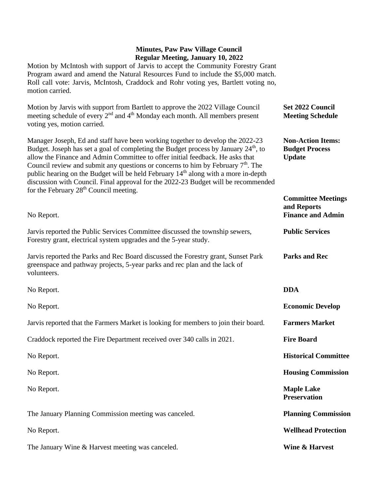## **Minutes, Paw Paw Village Council Regular Meeting, January 10, 2022**

Motion by McIntosh with support of Jarvis to accept the Community Forestry Grant Program award and amend the Natural Resources Fund to include the \$5,000 match. Roll call vote: Jarvis, McIntosh, Craddock and Rohr voting yes, Bartlett voting no, motion carried.

| Motion by Jarvis with support from Bartlett to approve the 2022 Village Council<br>meeting schedule of every 2 <sup>nd</sup> and 4 <sup>th</sup> Monday each month. All members present<br>voting yes, motion carried.                                                                                                                                                                                                                                                                                                                                                                                 | Set 2022 Council<br><b>Meeting Schedule</b>                          |
|--------------------------------------------------------------------------------------------------------------------------------------------------------------------------------------------------------------------------------------------------------------------------------------------------------------------------------------------------------------------------------------------------------------------------------------------------------------------------------------------------------------------------------------------------------------------------------------------------------|----------------------------------------------------------------------|
| Manager Joseph, Ed and staff have been working together to develop the 2022-23<br>Budget. Joseph has set a goal of completing the Budget process by January 24 <sup>th</sup> , to<br>allow the Finance and Admin Committee to offer initial feedback. He asks that<br>Council review and submit any questions or concerns to him by February $7th$ . The<br>public hearing on the Budget will be held February 14 <sup>th</sup> along with a more in-depth<br>discussion with Council. Final approval for the 2022-23 Budget will be recommended<br>for the February 28 <sup>th</sup> Council meeting. | <b>Non-Action Items:</b><br><b>Budget Process</b><br><b>Update</b>   |
| No Report.                                                                                                                                                                                                                                                                                                                                                                                                                                                                                                                                                                                             | <b>Committee Meetings</b><br>and Reports<br><b>Finance and Admin</b> |
| Jarvis reported the Public Services Committee discussed the township sewers,<br>Forestry grant, electrical system upgrades and the 5-year study.                                                                                                                                                                                                                                                                                                                                                                                                                                                       | <b>Public Services</b>                                               |
| Jarvis reported the Parks and Rec Board discussed the Forestry grant, Sunset Park<br>greenspace and pathway projects, 5-year parks and rec plan and the lack of<br>volunteers.                                                                                                                                                                                                                                                                                                                                                                                                                         | <b>Parks and Rec</b>                                                 |
| No Report.                                                                                                                                                                                                                                                                                                                                                                                                                                                                                                                                                                                             | <b>DDA</b>                                                           |
| No Report.                                                                                                                                                                                                                                                                                                                                                                                                                                                                                                                                                                                             | <b>Economic Develop</b>                                              |
| Jarvis reported that the Farmers Market is looking for members to join their board.                                                                                                                                                                                                                                                                                                                                                                                                                                                                                                                    | <b>Farmers Market</b>                                                |
| Craddock reported the Fire Department received over 340 calls in 2021.                                                                                                                                                                                                                                                                                                                                                                                                                                                                                                                                 | <b>Fire Board</b>                                                    |
| No Report.                                                                                                                                                                                                                                                                                                                                                                                                                                                                                                                                                                                             | <b>Historical Committee</b>                                          |
| No Report.                                                                                                                                                                                                                                                                                                                                                                                                                                                                                                                                                                                             | <b>Housing Commission</b>                                            |
| No Report.                                                                                                                                                                                                                                                                                                                                                                                                                                                                                                                                                                                             | <b>Maple Lake</b><br><b>Preservation</b>                             |
| The January Planning Commission meeting was canceled.                                                                                                                                                                                                                                                                                                                                                                                                                                                                                                                                                  | <b>Planning Commission</b>                                           |
| No Report.                                                                                                                                                                                                                                                                                                                                                                                                                                                                                                                                                                                             | <b>Wellhead Protection</b>                                           |
| The January Wine & Harvest meeting was canceled.                                                                                                                                                                                                                                                                                                                                                                                                                                                                                                                                                       | Wine & Harvest                                                       |